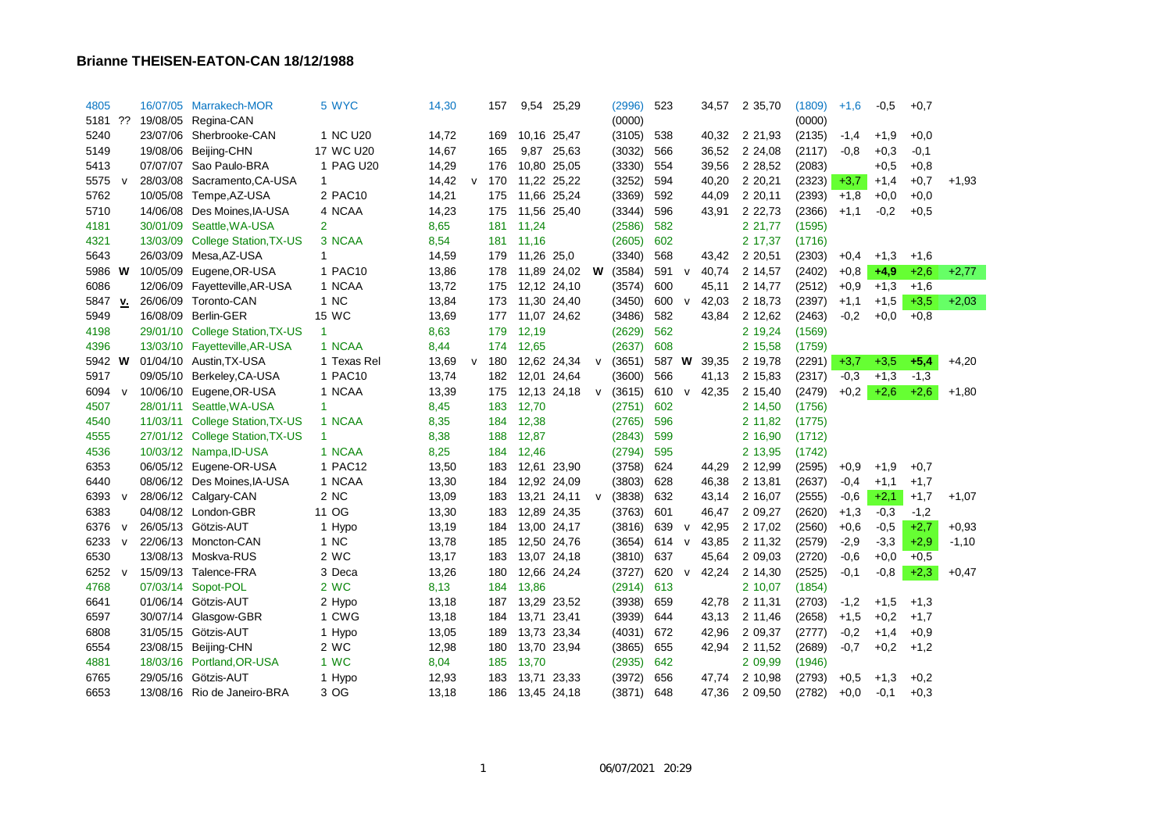## **Brianne THEISEN-EATON-CAN 18/12/1988**

| 4805    |              |          | 16/07/05 Marrakech-MOR          | 5 WYC        | 14,30 |              | 157 | 9,54        | 25,29         |              | (2996) | 523   |              | 34,57 | 2 35,70  | (1809) | $+1,6$ | $-0,5$ | $+0,7$ |         |
|---------|--------------|----------|---------------------------------|--------------|-------|--------------|-----|-------------|---------------|--------------|--------|-------|--------------|-------|----------|--------|--------|--------|--------|---------|
| 5181 ?? |              |          | 19/08/05 Regina-CAN             |              |       |              |     |             |               |              | (0000) |       |              |       |          | (0000) |        |        |        |         |
| 5240    |              |          | 23/07/06 Sherbrooke-CAN         | 1 NC U20     | 14,72 |              | 169 | 10,16 25,47 |               |              | (3105) | 538   |              | 40,32 | 2 21,93  | (2135) | $-1,4$ | $+1,9$ | $+0,0$ |         |
| 5149    |              |          | 19/08/06 Beijing-CHN            | 17 WC U20    | 14,67 |              | 165 | 9,87        | 25,63         |              | (3032) | 566   |              | 36,52 | 2 24,08  | (2117) | $-0,8$ | $+0,3$ | $-0,1$ |         |
| 5413    |              |          | 07/07/07 Sao Paulo-BRA          | 1 PAG U20    | 14,29 |              | 176 | 10,80 25,05 |               |              | (3330) | 554   |              | 39,56 | 2 28,52  | (2083) |        | $+0.5$ | $+0.8$ |         |
| 5575    | V            |          | 28/03/08 Sacramento, CA-USA     | 1            | 14,42 | $\mathsf{v}$ | 170 |             | 11,22 25,22   |              | (3252) | 594   |              | 40,20 | 2 20,21  | (2323) | $+3,7$ | $+1,4$ | $+0,7$ | $+1,93$ |
| 5762    |              |          | 10/05/08 Tempe, AZ-USA          | 2 PAC10      | 14,21 |              | 175 | 11,66 25,24 |               |              | (3369) | 592   |              | 44,09 | 2 20,11  | (2393) | $+1,8$ | $+0,0$ | $+0,0$ |         |
| 5710    |              |          | 14/06/08 Des Moines, IA-USA     | 4 NCAA       | 14,23 |              | 175 |             | 11,56 25,40   |              | (3344) | 596   |              | 43,91 | 2 2 2,73 | (2366) | $+1,1$ | $-0,2$ | $+0.5$ |         |
| 4181    |              | 30/01/09 | Seattle, WA-USA                 | 2            | 8,65  |              | 181 | 11,24       |               |              | (2586) | 582   |              |       | 2 21,77  | (1595) |        |        |        |         |
| 4321    |              | 13/03/09 | <b>College Station, TX-US</b>   | 3 NCAA       | 8,54  |              | 181 | 11,16       |               |              | (2605) | 602   |              |       | 2 17,37  | (1716) |        |        |        |         |
| 5643    |              |          | 26/03/09 Mesa, AZ-USA           | $\mathbf{1}$ | 14,59 |              | 179 | 11,26 25,0  |               |              | (3340) | 568   |              | 43,42 | 2 20,51  | (2303) | $+0,4$ | $+1,3$ | $+1,6$ |         |
| 5986 W  |              | 10/05/09 | Eugene, OR-USA                  | 1 PAC10      | 13,86 |              | 178 |             | 11,89 24,02 W |              | (3584) | 591   | $\mathsf{v}$ | 40,74 | 2 14,57  | (2402) | $+0,8$ | $+4,9$ | $+2,6$ | $+2,77$ |
| 6086    |              |          | 12/06/09 Fayetteville, AR-USA   | 1 NCAA       | 13,72 |              | 175 |             | 12,12 24,10   |              | (3574) | 600   |              | 45,11 | 2 14,77  | (2512) | $+0,9$ | $+1,3$ | $+1,6$ |         |
| 5847 v. |              |          | 26/06/09 Toronto-CAN            | 1 NC         | 13,84 |              | 173 | 11,30 24,40 |               |              | (3450) | 600   | $\mathsf{v}$ | 42,03 | 2 18,73  | (2397) | $+1,1$ | $+1,5$ | $+3,5$ | $+2,03$ |
| 5949    |              |          | 16/08/09 Berlin-GER             | 15 WC        | 13,69 |              | 177 | 11,07 24,62 |               |              | (3486) | 582   |              | 43,84 | 2 12,62  | (2463) | $-0,2$ | $+0,0$ | $+0,8$ |         |
| 4198    |              |          | 29/01/10 College Station, TX-US | 1            | 8,63  |              | 179 | 12,19       |               |              | (2629) | 562   |              |       | 2 19,24  | (1569) |        |        |        |         |
| 4396    |              |          | 13/03/10 Fayetteville, AR-USA   | 1 NCAA       | 8,44  |              | 174 | 12,65       |               |              | (2637) | 608   |              |       | 2 15,58  | (1759) |        |        |        |         |
| 5942 W  |              |          | 01/04/10 Austin, TX-USA         | 1 Texas Rel  | 13,69 | $\mathsf{v}$ | 180 |             | 12,62 24,34   | $\mathsf{V}$ | (3651) | 587 W |              | 39,35 | 2 19,78  | (2291) | $+3,7$ | $+3,5$ | $+5,4$ | $+4,20$ |
| 5917    |              |          | 09/05/10 Berkeley, CA-USA       | 1 PAC10      | 13,74 |              | 182 |             | 12,01 24,64   |              | (3600) | 566   |              | 41,13 | 2 15,83  | (2317) | $-0,3$ | $+1,3$ | $-1,3$ |         |
| 6094    | $\mathsf{v}$ |          | 10/06/10 Eugene, OR-USA         | 1 NCAA       | 13,39 |              | 175 |             | 12,13 24,18   | $\mathsf{V}$ | (3615) | 610   | $\mathsf{v}$ | 42,35 | 2 15,40  | (2479) | $+0,2$ | $+2,6$ | $+2,6$ | $+1,80$ |
| 4507    |              |          | 28/01/11 Seattle, WA-USA        | 1.           | 8,45  |              | 183 | 12,70       |               |              | (2751) | 602   |              |       | 2 14,50  | (1756) |        |        |        |         |
| 4540    |              |          | 11/03/11 College Station, TX-US | 1 NCAA       | 8,35  |              | 184 | 12,38       |               |              | (2765) | 596   |              |       | 2 11,82  | (1775) |        |        |        |         |
| 4555    |              |          | 27/01/12 College Station, TX-US | 1            | 8,38  |              | 188 | 12,87       |               |              | (2843) | 599   |              |       | 2 16,90  | (1712) |        |        |        |         |
| 4536    |              |          | 10/03/12 Nampa, ID-USA          | 1 NCAA       | 8,25  |              | 184 | 12,46       |               |              | (2794) | 595   |              |       | 2 13,95  | (1742) |        |        |        |         |
| 6353    |              |          | 06/05/12 Eugene-OR-USA          | 1 PAC12      | 13,50 |              | 183 |             | 12,61 23,90   |              | (3758) | 624   |              | 44,29 | 2 12,99  | (2595) | $+0.9$ | $+1,9$ | $+0,7$ |         |
| 6440    |              |          | 08/06/12 Des Moines, IA-USA     | 1 NCAA       | 13,30 |              | 184 |             | 12,92 24,09   |              | (3803) | 628   |              | 46,38 | 2 13,81  | (2637) | $-0,4$ | $+1,1$ | $+1,7$ |         |
| 6393    | V            |          | 28/06/12 Calgary-CAN            | 2 NC         | 13,09 |              | 183 |             | 13,21 24,11   | $\mathsf{v}$ | (3838) | 632   |              | 43,14 | 2 16,07  | (2555) | $-0,6$ | $+2,1$ | $+1,7$ | $+1,07$ |
| 6383    |              |          | 04/08/12 London-GBR             | 11 OG        | 13,30 |              | 183 |             | 12,89 24,35   |              | (3763) | 601   |              | 46,47 | 2 09,27  | (2620) | $+1,3$ | $-0,3$ | $-1,2$ |         |
| 6376    | $\mathsf{v}$ |          | 26/05/13 Götzis-AUT             | 1 Hypo       | 13,19 |              | 184 |             | 13,00 24,17   |              | (3816) | 639   | $\mathsf{v}$ | 42,95 | 2 17,02  | (2560) | $+0,6$ | $-0,5$ | $+2,7$ | +0,93   |
| 6233    | $\mathsf{v}$ |          | 22/06/13 Moncton-CAN            | 1 NC         | 13,78 |              | 185 |             | 12,50 24,76   |              | (3654) | 614   | $\mathsf{v}$ | 43,85 | 2 11,32  | (2579) | $-2,9$ | $-3,3$ | $+2,9$ | $-1,10$ |
| 6530    |              |          | 13/08/13 Moskva-RUS             | 2 WC         | 13,17 |              | 183 |             | 13,07 24,18   |              | (3810) | 637   |              | 45,64 | 2 09,03  | (2720) | $-0.6$ | $+0,0$ | $+0.5$ |         |
| 6252    | V            |          | 15/09/13 Talence-FRA            | 3 Deca       | 13,26 |              | 180 |             | 12,66 24,24   |              | (3727) | 620   | $\mathsf{V}$ | 42,24 | 2 14,30  | (2525) | $-0,1$ | $-0,8$ | $+2,3$ | $+0.47$ |
| 4768    |              |          | 07/03/14 Sopot-POL              | 2 WC         | 8,13  |              | 184 | 13,86       |               |              | (2914) | 613   |              |       | 2 10,07  | (1854) |        |        |        |         |
| 6641    |              |          | 01/06/14 Götzis-AUT             | 2 Hypo       | 13,18 |              | 187 |             | 13,29 23,52   |              | (3938) | 659   |              | 42,78 | 2 11,31  | (2703) | $-1,2$ | $+1,5$ | $+1,3$ |         |
| 6597    |              |          | 30/07/14 Glasgow-GBR            | 1 CWG        | 13,18 |              | 184 | 13,71 23,41 |               |              | (3939) | 644   |              | 43,13 | 2 11,46  | (2658) | $+1,5$ | $+0,2$ | $+1,7$ |         |
| 6808    |              |          | 31/05/15 Götzis-AUT             | 1 Hypo       | 13,05 |              | 189 |             | 13,73 23,34   |              | (4031) | 672   |              | 42,96 | 2 09,37  | (2777) | $-0,2$ | $+1,4$ | $+0.9$ |         |
| 6554    |              |          | 23/08/15 Beijing-CHN            | 2 WC         | 12,98 |              | 180 |             | 13,70 23,94   |              | (3865) | 655   |              | 42,94 | 2 11,52  | (2689) | $-0,7$ | $+0,2$ | $+1,2$ |         |
| 4881    |              |          | 18/03/16 Portland, OR-USA       | 1 WC         | 8,04  |              | 185 | 13,70       |               |              | (2935) | 642   |              |       | 2 09,99  | (1946) |        |        |        |         |
| 6765    |              |          | 29/05/16 Götzis-AUT             | 1 Hypo       | 12,93 |              | 183 |             | 13,71 23,33   |              | (3972) | 656   |              | 47,74 | 2 10,98  | (2793) | $+0,5$ | $+1,3$ | $+0,2$ |         |
| 6653    |              |          | 13/08/16 Rio de Janeiro-BRA     | 3 OG         | 13,18 |              | 186 | 13,45 24,18 |               |              | (3871) | 648   |              | 47,36 | 2 09,50  | (2782) | $+0,0$ | $-0,1$ | $+0,3$ |         |

1 06/07/2021 20:29